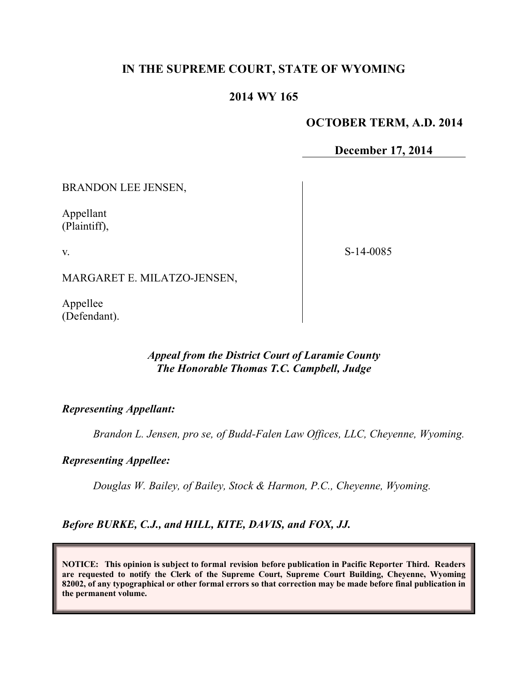## **IN THE SUPREME COURT, STATE OF WYOMING**

### **2014 WY 165**

#### **OCTOBER TERM, A.D. 2014**

**December 17, 2014**

BRANDON LEE JENSEN,

Appellant (Plaintiff),

v.

S-14-0085

MARGARET E. MILATZO-JENSEN,

Appellee (Defendant).

## *Appeal from the District Court of Laramie County The Honorable Thomas T.C. Campbell, Judge*

*Representing Appellant:*

*Brandon L. Jensen, pro se, of Budd-Falen Law Offices, LLC, Cheyenne, Wyoming.*

*Representing Appellee:*

*Douglas W. Bailey, of Bailey, Stock & Harmon, P.C., Cheyenne, Wyoming.*

*Before BURKE, C.J., and HILL, KITE, DAVIS, and FOX, JJ.*

**NOTICE: This opinion is subject to formal revision before publication in Pacific Reporter Third. Readers are requested to notify the Clerk of the Supreme Court, Supreme Court Building, Cheyenne, Wyoming 82002, of any typographical or other formal errors so that correction may be made before final publication in the permanent volume.**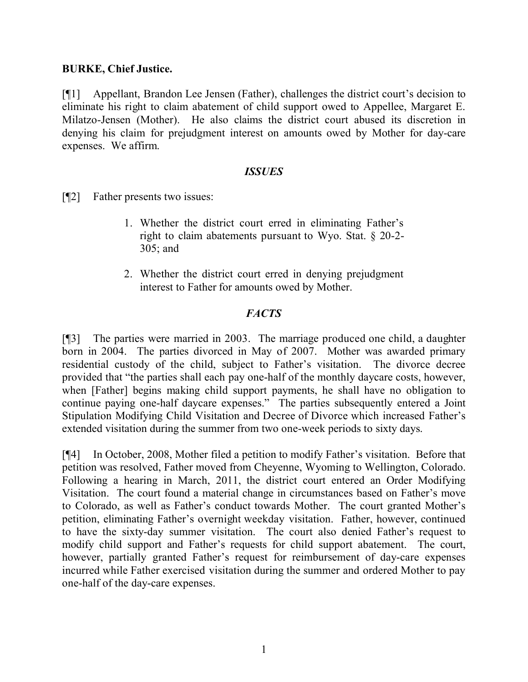### **BURKE, Chief Justice.**

[¶1] Appellant, Brandon Lee Jensen (Father), challenges the district court's decision to eliminate his right to claim abatement of child support owed to Appellee, Margaret E. Milatzo-Jensen (Mother). He also claims the district court abused its discretion in denying his claim for prejudgment interest on amounts owed by Mother for day-care expenses. We affirm.

#### *ISSUES*

[¶2] Father presents two issues:

- 1. Whether the district court erred in eliminating Father's right to claim abatements pursuant to Wyo. Stat. § 20-2- 305; and
- 2. Whether the district court erred in denying prejudgment interest to Father for amounts owed by Mother.

### *FACTS*

[¶3] The parties were married in 2003. The marriage produced one child, a daughter born in 2004. The parties divorced in May of 2007. Mother was awarded primary residential custody of the child, subject to Father's visitation. The divorce decree provided that "the parties shall each pay one-half of the monthly daycare costs, however, when [Father] begins making child support payments, he shall have no obligation to continue paying one-half daycare expenses." The parties subsequently entered a Joint Stipulation Modifying Child Visitation and Decree of Divorce which increased Father's extended visitation during the summer from two one-week periods to sixty days.

[¶4] In October, 2008, Mother filed a petition to modify Father's visitation. Before that petition was resolved, Father moved from Cheyenne, Wyoming to Wellington, Colorado. Following a hearing in March, 2011, the district court entered an Order Modifying Visitation. The court found a material change in circumstances based on Father's move to Colorado, as well as Father's conduct towards Mother. The court granted Mother's petition, eliminating Father's overnight weekday visitation. Father, however, continued to have the sixty-day summer visitation. The court also denied Father's request to modify child support and Father's requests for child support abatement. The court, however, partially granted Father's request for reimbursement of day-care expenses incurred while Father exercised visitation during the summer and ordered Mother to pay one-half of the day-care expenses.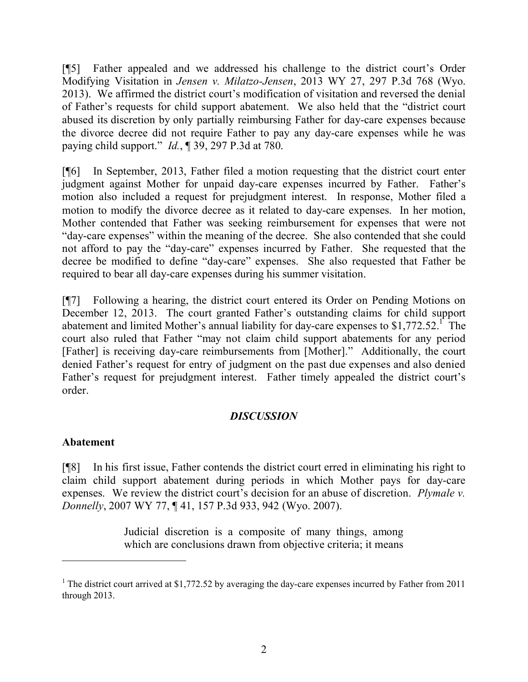[¶5] Father appealed and we addressed his challenge to the district court's Order Modifying Visitation in *Jensen v. Milatzo-Jensen*, 2013 WY 27, 297 P.3d 768 (Wyo. 2013). We affirmed the district court's modification of visitation and reversed the denial of Father's requests for child support abatement. We also held that the "district court abused its discretion by only partially reimbursing Father for day-care expenses because the divorce decree did not require Father to pay any day-care expenses while he was paying child support." *Id.*, ¶ 39, 297 P.3d at 780.

[¶6] In September, 2013, Father filed a motion requesting that the district court enter judgment against Mother for unpaid day-care expenses incurred by Father. Father's motion also included a request for prejudgment interest. In response, Mother filed a motion to modify the divorce decree as it related to day-care expenses. In her motion, Mother contended that Father was seeking reimbursement for expenses that were not "day-care expenses" within the meaning of the decree. She also contended that she could not afford to pay the "day-care" expenses incurred by Father. She requested that the decree be modified to define "day-care" expenses. She also requested that Father be required to bear all day-care expenses during his summer visitation.

[¶7] Following a hearing, the district court entered its Order on Pending Motions on December 12, 2013. The court granted Father's outstanding claims for child support abatement and limited Mother's annual liability for day-care expenses to  $$1,772.52$ <sup>1</sup>. The court also ruled that Father "may not claim child support abatements for any period [Father] is receiving day-care reimbursements from [Mother]." Additionally, the court denied Father's request for entry of judgment on the past due expenses and also denied Father's request for prejudgment interest. Father timely appealed the district court's order.

# *DISCUSSION*

### **Abatement**

[¶8] In his first issue, Father contends the district court erred in eliminating his right to claim child support abatement during periods in which Mother pays for day-care expenses. We review the district court's decision for an abuse of discretion. *Plymale v. Donnelly*, 2007 WY 77, ¶ 41, 157 P.3d 933, 942 (Wyo. 2007).

> Judicial discretion is a composite of many things, among which are conclusions drawn from objective criteria; it means

<sup>&</sup>lt;sup>1</sup> The district court arrived at \$1,772.52 by averaging the day-care expenses incurred by Father from 2011 through 2013.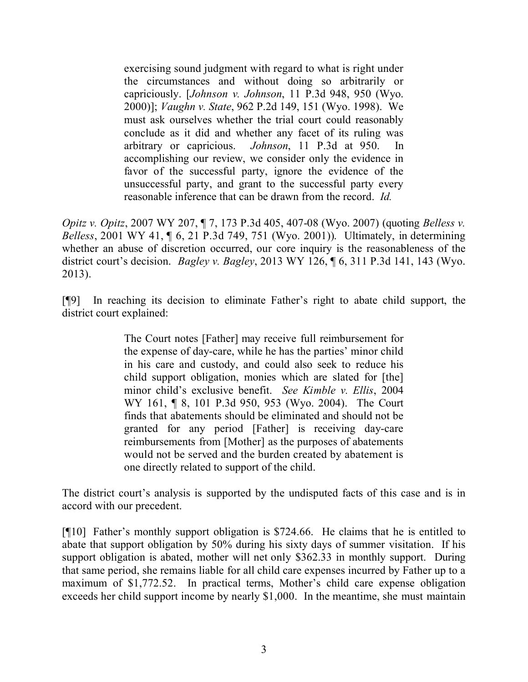exercising sound judgment with regard to what is right under the circumstances and without doing so arbitrarily or capriciously. [*Johnson v. Johnson*, 11 P.3d 948, 950 (Wyo. 2000)]; *Vaughn v. State*, 962 P.2d 149, 151 (Wyo. 1998). We must ask ourselves whether the trial court could reasonably conclude as it did and whether any facet of its ruling was arbitrary or capricious. *Johnson*, 11 P.3d at 950. In accomplishing our review, we consider only the evidence in favor of the successful party, ignore the evidence of the unsuccessful party, and grant to the successful party every reasonable inference that can be drawn from the record. *Id.*

*Opitz v. Opitz*, 2007 WY 207, ¶ 7, 173 P.3d 405, 407-08 (Wyo. 2007) (quoting *Belless v. Belless*, 2001 WY 41, ¶ 6, 21 P.3d 749, 751 (Wyo. 2001)). Ultimately, in determining whether an abuse of discretion occurred, our core inquiry is the reasonableness of the district court's decision. *Bagley v. Bagley*, 2013 WY 126, ¶ 6, 311 P.3d 141, 143 (Wyo. 2013).

[¶9] In reaching its decision to eliminate Father's right to abate child support, the district court explained:

> The Court notes [Father] may receive full reimbursement for the expense of day-care, while he has the parties' minor child in his care and custody, and could also seek to reduce his child support obligation, monies which are slated for [the] minor child's exclusive benefit. *See Kimble v. Ellis*, 2004 WY 161, ¶ 8, 101 P.3d 950, 953 (Wyo. 2004). The Court finds that abatements should be eliminated and should not be granted for any period [Father] is receiving day-care reimbursements from [Mother] as the purposes of abatements would not be served and the burden created by abatement is one directly related to support of the child.

The district court's analysis is supported by the undisputed facts of this case and is in accord with our precedent.

[¶10] Father's monthly support obligation is \$724.66. He claims that he is entitled to abate that support obligation by 50% during his sixty days of summer visitation. If his support obligation is abated, mother will net only \$362.33 in monthly support. During that same period, she remains liable for all child care expenses incurred by Father up to a maximum of \$1,772.52. In practical terms, Mother's child care expense obligation exceeds her child support income by nearly \$1,000. In the meantime, she must maintain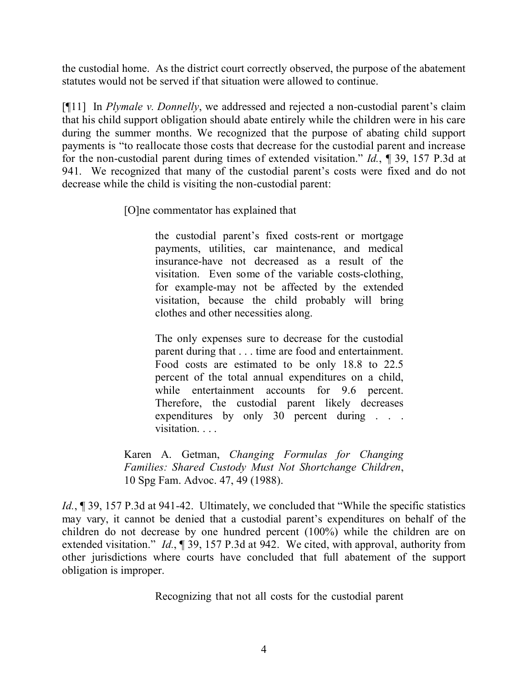the custodial home. As the district court correctly observed, the purpose of the abatement statutes would not be served if that situation were allowed to continue.

[¶11] In *Plymale v. Donnelly*, we addressed and rejected a non-custodial parent's claim that his child support obligation should abate entirely while the children were in his care during the summer months. We recognized that the purpose of abating child support payments is "to reallocate those costs that decrease for the custodial parent and increase for the non-custodial parent during times of extended visitation." *Id.*, ¶ 39, 157 P.3d at 941. We recognized that many of the custodial parent's costs were fixed and do not decrease while the child is visiting the non-custodial parent:

[O]ne commentator has explained that

the custodial parent's fixed costs-rent or mortgage payments, utilities, car maintenance, and medical insurance-have not decreased as a result of the visitation. Even some of the variable costs-clothing, for example-may not be affected by the extended visitation, because the child probably will bring clothes and other necessities along.

The only expenses sure to decrease for the custodial parent during that . . . time are food and entertainment. Food costs are estimated to be only 18.8 to 22.5 percent of the total annual expenditures on a child, while entertainment accounts for 9.6 percent. Therefore, the custodial parent likely decreases expenditures by only 30 percent during . . . visitation. . . .

Karen A. Getman, *Changing Formulas for Changing Families: Shared Custody Must Not Shortchange Children*, 10 Spg Fam. Advoc. 47, 49 (1988).

*Id.*, 139, 157 P.3d at 941-42. Ultimately, we concluded that "While the specific statistics" may vary, it cannot be denied that a custodial parent's expenditures on behalf of the children do not decrease by one hundred percent (100%) while the children are on extended visitation." *Id.*, ¶ 39, 157 P.3d at 942. We cited, with approval, authority from other jurisdictions where courts have concluded that full abatement of the support obligation is improper.

Recognizing that not all costs for the custodial parent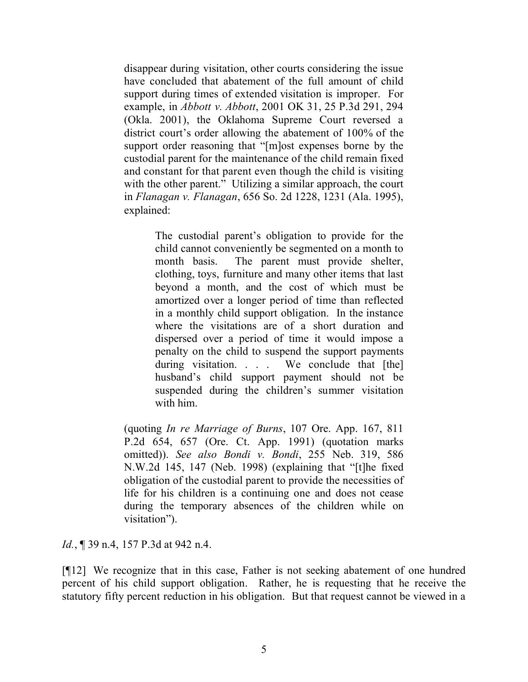disappear during visitation, other courts considering the issue have concluded that abatement of the full amount of child support during times of extended visitation is improper. For example, in *Abbott v. Abbott*, 2001 OK 31, 25 P.3d 291, 294 (Okla. 2001), the Oklahoma Supreme Court reversed a district court's order allowing the abatement of 100% of the support order reasoning that "[m]ost expenses borne by the custodial parent for the maintenance of the child remain fixed and constant for that parent even though the child is visiting with the other parent." Utilizing a similar approach, the court in *Flanagan v. Flanagan*, 656 So. 2d 1228, 1231 (Ala. 1995), explained:

> The custodial parent's obligation to provide for the child cannot conveniently be segmented on a month to month basis. The parent must provide shelter, clothing, toys, furniture and many other items that last beyond a month, and the cost of which must be amortized over a longer period of time than reflected in a monthly child support obligation. In the instance where the visitations are of a short duration and dispersed over a period of time it would impose a penalty on the child to suspend the support payments during visitation. . . We conclude that [the] husband's child support payment should not be suspended during the children's summer visitation with him.

(quoting *In re Marriage of Burns*, 107 Ore. App. 167, 811 P.2d 654, 657 (Ore. Ct. App. 1991) (quotation marks omitted)). *See also Bondi v. Bondi*, 255 Neb. 319, 586 N.W.2d 145, 147 (Neb. 1998) (explaining that "[t]he fixed obligation of the custodial parent to provide the necessities of life for his children is a continuing one and does not cease during the temporary absences of the children while on visitation").

*Id.*, 139 n.4, 157 P.3d at 942 n.4.

[¶12] We recognize that in this case, Father is not seeking abatement of one hundred percent of his child support obligation. Rather, he is requesting that he receive the statutory fifty percent reduction in his obligation. But that request cannot be viewed in a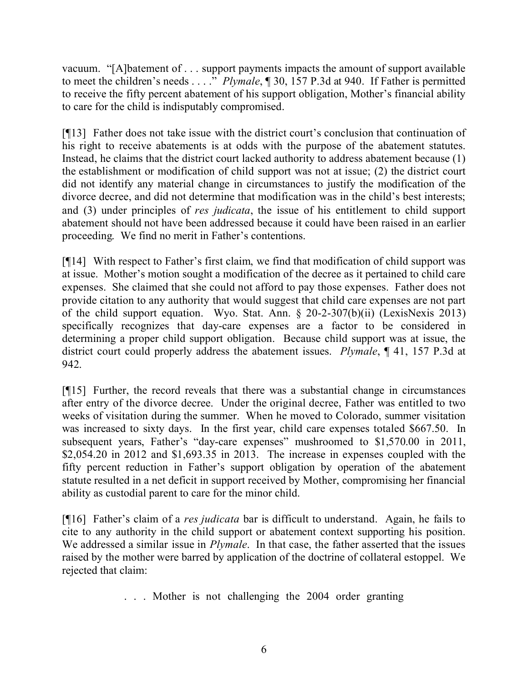vacuum. "[A]batement of . . . support payments impacts the amount of support available to meet the children's needs . . . ." *Plymale*, ¶ 30, 157 P.3d at 940. If Father is permitted to receive the fifty percent abatement of his support obligation, Mother's financial ability to care for the child is indisputably compromised.

[¶13] Father does not take issue with the district court's conclusion that continuation of his right to receive abatements is at odds with the purpose of the abatement statutes. Instead, he claims that the district court lacked authority to address abatement because (1) the establishment or modification of child support was not at issue; (2) the district court did not identify any material change in circumstances to justify the modification of the divorce decree, and did not determine that modification was in the child's best interests; and (3) under principles of *res judicata*, the issue of his entitlement to child support abatement should not have been addressed because it could have been raised in an earlier proceeding. We find no merit in Father's contentions.

[¶14] With respect to Father's first claim, we find that modification of child support was at issue. Mother's motion sought a modification of the decree as it pertained to child care expenses. She claimed that she could not afford to pay those expenses. Father does not provide citation to any authority that would suggest that child care expenses are not part of the child support equation. Wyo. Stat. Ann. § 20-2-307(b)(ii) (LexisNexis 2013) specifically recognizes that day-care expenses are a factor to be considered in determining a proper child support obligation. Because child support was at issue, the district court could properly address the abatement issues. *Plymale*, ¶ 41, 157 P.3d at 942.

[¶15] Further, the record reveals that there was a substantial change in circumstances after entry of the divorce decree. Under the original decree, Father was entitled to two weeks of visitation during the summer. When he moved to Colorado, summer visitation was increased to sixty days. In the first year, child care expenses totaled \$667.50. In subsequent years, Father's "day-care expenses" mushroomed to \$1,570.00 in 2011, \$2,054.20 in 2012 and \$1,693.35 in 2013. The increase in expenses coupled with the fifty percent reduction in Father's support obligation by operation of the abatement statute resulted in a net deficit in support received by Mother, compromising her financial ability as custodial parent to care for the minor child.

[¶16] Father's claim of a *res judicata* bar is difficult to understand. Again, he fails to cite to any authority in the child support or abatement context supporting his position. We addressed a similar issue in *Plymale*. In that case, the father asserted that the issues raised by the mother were barred by application of the doctrine of collateral estoppel. We rejected that claim:

. . . Mother is not challenging the 2004 order granting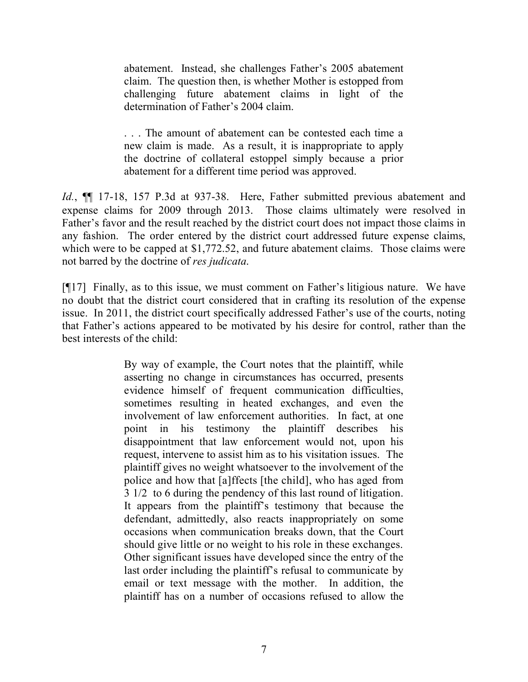abatement. Instead, she challenges Father's 2005 abatement claim. The question then, is whether Mother is estopped from challenging future abatement claims in light of the determination of Father's 2004 claim.

. . . The amount of abatement can be contested each time a new claim is made. As a result, it is inappropriate to apply the doctrine of collateral estoppel simply because a prior abatement for a different time period was approved.

*Id.*, ¶¶ 17-18, 157 P.3d at 937-38. Here, Father submitted previous abatement and expense claims for 2009 through 2013. Those claims ultimately were resolved in Father's favor and the result reached by the district court does not impact those claims in any fashion. The order entered by the district court addressed future expense claims, which were to be capped at \$1,772.52, and future abatement claims. Those claims were not barred by the doctrine of *res judicata*.

[¶17] Finally, as to this issue, we must comment on Father's litigious nature. We have no doubt that the district court considered that in crafting its resolution of the expense issue. In 2011, the district court specifically addressed Father's use of the courts, noting that Father's actions appeared to be motivated by his desire for control, rather than the best interests of the child:

> By way of example, the Court notes that the plaintiff, while asserting no change in circumstances has occurred, presents evidence himself of frequent communication difficulties, sometimes resulting in heated exchanges, and even the involvement of law enforcement authorities. In fact, at one point in his testimony the plaintiff describes his disappointment that law enforcement would not, upon his request, intervene to assist him as to his visitation issues. The plaintiff gives no weight whatsoever to the involvement of the police and how that [a]ffects [the child], who has aged from 3 1/2 to 6 during the pendency of this last round of litigation. It appears from the plaintiff's testimony that because the defendant, admittedly, also reacts inappropriately on some occasions when communication breaks down, that the Court should give little or no weight to his role in these exchanges. Other significant issues have developed since the entry of the last order including the plaintiff's refusal to communicate by email or text message with the mother. In addition, the plaintiff has on a number of occasions refused to allow the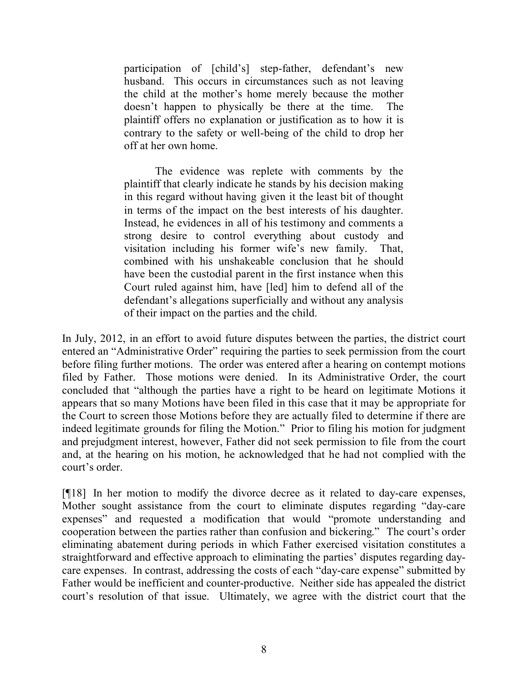participation of [child's] step-father, defendant's new husband. This occurs in circumstances such as not leaving the child at the mother's home merely because the mother doesn't happen to physically be there at the time. The plaintiff offers no explanation or justification as to how it is contrary to the safety or well-being of the child to drop her off at her own home.

The evidence was replete with comments by the plaintiff that clearly indicate he stands by his decision making in this regard without having given it the least bit of thought in terms of the impact on the best interests of his daughter. Instead, he evidences in all of his testimony and comments a strong desire to control everything about custody and visitation including his former wife's new family. That, combined with his unshakeable conclusion that he should have been the custodial parent in the first instance when this Court ruled against him, have [led] him to defend all of the defendant's allegations superficially and without any analysis of their impact on the parties and the child.

In July, 2012, in an effort to avoid future disputes between the parties, the district court entered an "Administrative Order" requiring the parties to seek permission from the court before filing further motions. The order was entered after a hearing on contempt motions filed by Father. Those motions were denied. In its Administrative Order, the court concluded that "although the parties have a right to be heard on legitimate Motions it appears that so many Motions have been filed in this case that it may be appropriate for the Court to screen those Motions before they are actually filed to determine if there are indeed legitimate grounds for filing the Motion." Prior to filing his motion for judgment and prejudgment interest, however, Father did not seek permission to file from the court and, at the hearing on his motion, he acknowledged that he had not complied with the court's order.

[¶18] In her motion to modify the divorce decree as it related to day-care expenses, Mother sought assistance from the court to eliminate disputes regarding "day-care expenses" and requested a modification that would "promote understanding and cooperation between the parties rather than confusion and bickering." The court's order eliminating abatement during periods in which Father exercised visitation constitutes a straightforward and effective approach to eliminating the parties' disputes regarding daycare expenses. In contrast, addressing the costs of each "day-care expense" submitted by Father would be inefficient and counter-productive. Neither side has appealed the district court's resolution of that issue. Ultimately, we agree with the district court that the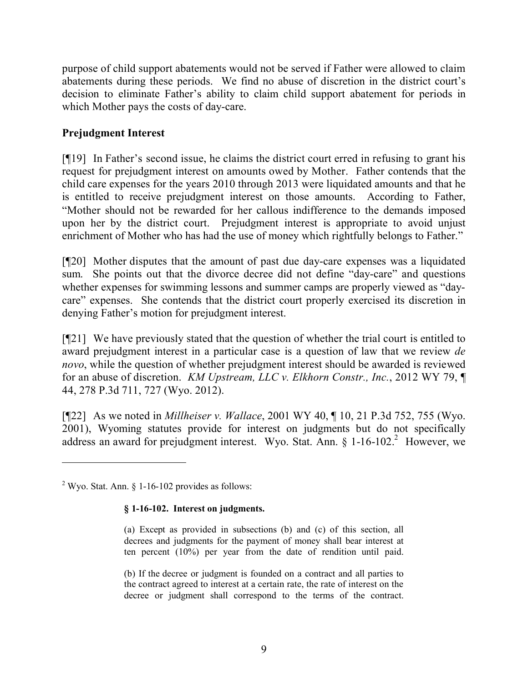purpose of child support abatements would not be served if Father were allowed to claim abatements during these periods. We find no abuse of discretion in the district court's decision to eliminate Father's ability to claim child support abatement for periods in which Mother pays the costs of day-care.

# **Prejudgment Interest**

[¶19] In Father's second issue, he claims the district court erred in refusing to grant his request for prejudgment interest on amounts owed by Mother. Father contends that the child care expenses for the years 2010 through 2013 were liquidated amounts and that he is entitled to receive prejudgment interest on those amounts. According to Father, "Mother should not be rewarded for her callous indifference to the demands imposed upon her by the district court. Prejudgment interest is appropriate to avoid unjust enrichment of Mother who has had the use of money which rightfully belongs to Father."

[¶20] Mother disputes that the amount of past due day-care expenses was a liquidated sum. She points out that the divorce decree did not define "day-care" and questions whether expenses for swimming lessons and summer camps are properly viewed as "daycare" expenses. She contends that the district court properly exercised its discretion in denying Father's motion for prejudgment interest.

[¶21] We have previously stated that the question of whether the trial court is entitled to award prejudgment interest in a particular case is a question of law that we review *de novo*, while the question of whether prejudgment interest should be awarded is reviewed for an abuse of discretion. *KM Upstream, LLC v. Elkhorn Constr., Inc.*, 2012 WY 79, ¶ 44, 278 P.3d 711, 727 (Wyo. 2012).

[¶22] As we noted in *Millheiser v. Wallace*, 2001 WY 40, ¶ 10, 21 P.3d 752, 755 (Wyo. 2001), Wyoming statutes provide for interest on judgments but do not specifically address an award for prejudgment interest. Wyo. Stat. Ann. § 1-16-102.<sup>2</sup> However, we

#### **§ 1-16-102. Interest on judgments.**

(a) Except as provided in subsections (b) and (c) of this section, all decrees and judgments for the payment of money shall bear interest at ten percent (10%) per year from the date of rendition until paid.

(b) If the decree or judgment is founded on a contract and all parties to the contract agreed to interest at a certain rate, the rate of interest on the decree or judgment shall correspond to the terms of the contract.

 $2$  Wyo. Stat. Ann. § 1-16-102 provides as follows: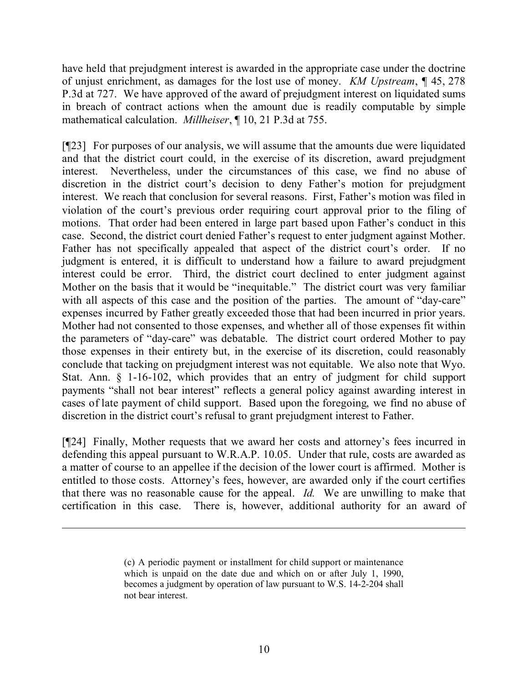have held that prejudgment interest is awarded in the appropriate case under the doctrine of unjust enrichment, as damages for the lost use of money. *KM Upstream*, ¶ 45, 278 P.3d at 727. We have approved of the award of prejudgment interest on liquidated sums in breach of contract actions when the amount due is readily computable by simple mathematical calculation. *Millheiser*, ¶ 10, 21 P.3d at 755.

[¶23] For purposes of our analysis, we will assume that the amounts due were liquidated and that the district court could, in the exercise of its discretion, award prejudgment interest. Nevertheless, under the circumstances of this case, we find no abuse of discretion in the district court's decision to deny Father's motion for prejudgment interest. We reach that conclusion for several reasons. First, Father's motion was filed in violation of the court's previous order requiring court approval prior to the filing of motions. That order had been entered in large part based upon Father's conduct in this case. Second, the district court denied Father's request to enter judgment against Mother. Father has not specifically appealed that aspect of the district court's order. If no judgment is entered, it is difficult to understand how a failure to award prejudgment interest could be error. Third, the district court declined to enter judgment against Mother on the basis that it would be "inequitable." The district court was very familiar with all aspects of this case and the position of the parties. The amount of "day-care" expenses incurred by Father greatly exceeded those that had been incurred in prior years. Mother had not consented to those expenses, and whether all of those expenses fit within the parameters of "day-care" was debatable. The district court ordered Mother to pay those expenses in their entirety but, in the exercise of its discretion, could reasonably conclude that tacking on prejudgment interest was not equitable. We also note that Wyo. Stat. Ann. § 1-16-102, which provides that an entry of judgment for child support payments "shall not bear interest" reflects a general policy against awarding interest in cases of late payment of child support. Based upon the foregoing, we find no abuse of discretion in the district court's refusal to grant prejudgment interest to Father.

[¶24] Finally, Mother requests that we award her costs and attorney's fees incurred in defending this appeal pursuant to W.R.A.P. 10.05. Under that rule, costs are awarded as a matter of course to an appellee if the decision of the lower court is affirmed. Mother is entitled to those costs. Attorney's fees, however, are awarded only if the court certifies that there was no reasonable cause for the appeal. *Id.* We are unwilling to make that certification in this case. There is, however, additional authority for an award of

<sup>(</sup>c) A periodic payment or installment for child support or maintenance which is unpaid on the date due and which on or after July 1, 1990, becomes a judgment by operation of law pursuant to W.S. 14-2-204 shall not bear interest.